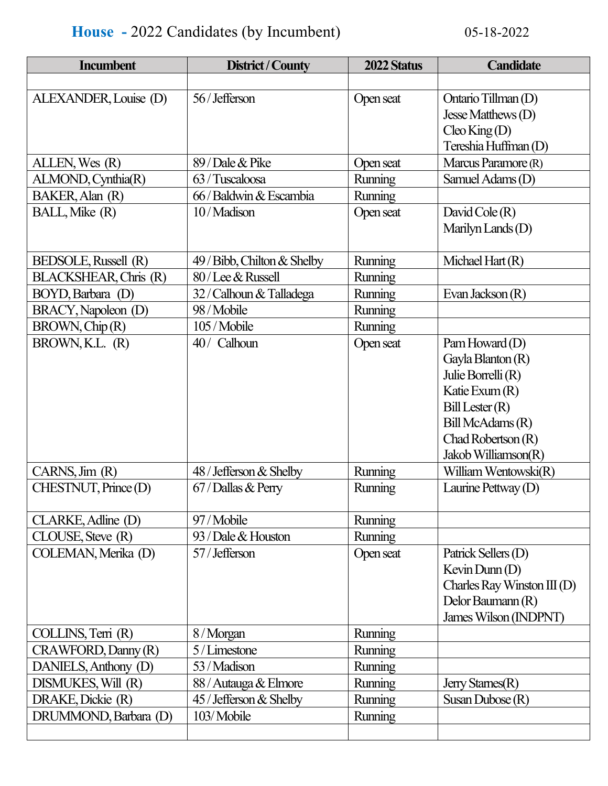## **House -** 2022 Candidates (by Incumbent) 05-18-2022

| <b>Incumbent</b>      | District / County           | 2022 Status    | <b>Candidate</b>                                                                                                                                                   |
|-----------------------|-----------------------------|----------------|--------------------------------------------------------------------------------------------------------------------------------------------------------------------|
|                       |                             |                |                                                                                                                                                                    |
| ALEXANDER, Louise (D) | 56/Jefferson                | Open seat      | Ontario Tillman (D)<br>Jesse Matthews $(D)$<br>$C$ leo King (D)<br>Tereshia Huffman (D)                                                                            |
| ALLEN, Wes (R)        | 89 / Dale & Pike            | Open seat      | Marcus Paramore (R)                                                                                                                                                |
| ALMOND, Cynthia(R)    | 63 / Tuscaloosa             | Running        | Samuel Adams (D)                                                                                                                                                   |
| BAKER, Alan (R)       | 66 / Baldwin & Escambia     | <b>Running</b> |                                                                                                                                                                    |
| BALL, Mike (R)        | 10/Madison                  | Open seat      | David Cole $(R)$<br>Marilyn Lands $(D)$                                                                                                                            |
| BEDSOLE, Russell (R)  | 49 / Bibb, Chilton & Shelby | Running        | Michael Hart $(R)$                                                                                                                                                 |
| BLACKSHEAR, Chris (R) | 80/Lee & Russell            | Running        |                                                                                                                                                                    |
| BOYD, Barbara (D)     | 32 / Calhoun & Talladega    | Running        | Evan Jackson (R)                                                                                                                                                   |
| BRACY, Napoleon (D)   | 98 / Mobile                 | Running        |                                                                                                                                                                    |
| BROWN, Chip (R)       | 105/Mobile                  | Running        |                                                                                                                                                                    |
| BROWN, K.L. (R)       | 40/ Calhoun                 | Open seat      | Pam Howard $(D)$<br>Gayla Blanton (R)<br>Julie Borrelli (R)<br>Katie Exum (R)<br>Bill Lester(R)<br>Bill McAdams (R)<br>Chad Robertson $(R)$<br>Jakob Williamson(R) |
| CARNS, Jim (R)        | 48 / Jefferson & Shelby     | Running        | William Wentowski(R)                                                                                                                                               |
| CHESTNUT, Prince (D)  | 67 / Dallas & Perry         | Running        | Laurine Pettway (D)                                                                                                                                                |
| CLARKE, Adline (D)    | 97/Mobile                   | <b>Running</b> |                                                                                                                                                                    |
| CLOUSE, Steve (R)     | 93 / Dale & Houston         | Running        |                                                                                                                                                                    |
| COLEMAN, Merika (D)   | 57 / Jefferson              | Open seat      | Patrick Sellers (D)<br>Kevin Dunn (D)<br>Charles Ray Winston III (D)<br>Delor Baumann (R)<br>James Wilson (INDPNT)                                                 |
| COLLINS, Terri (R)    | 8/Morgan                    | Running        |                                                                                                                                                                    |
| CRAWFORD, Danny (R)   | 5/Limestone                 | <b>Running</b> |                                                                                                                                                                    |
| DANIELS, Anthony (D)  | 53 / Madison                | Running        |                                                                                                                                                                    |
| DISMUKES, Will (R)    | 88 / Autauga & Elmore       | Running        | Jerry Starnes(R)                                                                                                                                                   |
| DRAKE, Dickie (R)     | 45 / Jefferson & Shelby     | Running        | Susan Dubose $(R)$                                                                                                                                                 |
| DRUMMOND, Barbara (D) | 103/Mobile                  | Running        |                                                                                                                                                                    |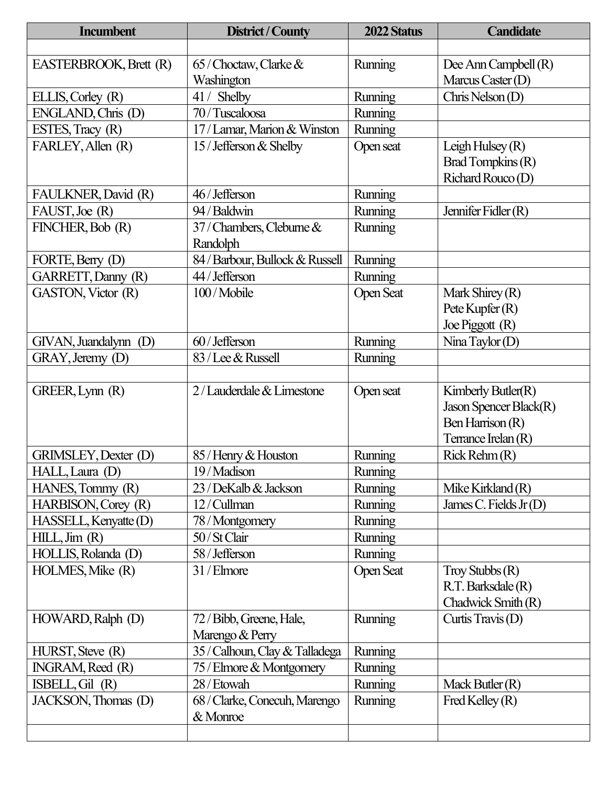| <b>Incumbent</b>       | District / County               | 2022 Status      | <b>Candidate</b>        |
|------------------------|---------------------------------|------------------|-------------------------|
|                        |                                 |                  |                         |
| EASTERBROOK, Brett (R) | $65$ / Choctaw, Clarke $&$      | Running          | Dee Ann Campbell (R)    |
|                        | Washington                      |                  | Marcus Caster (D)       |
| ELLIS, Corley (R)      | 41 / Shelby                     | Running          | Chris Nelson $(D)$      |
| ENGLAND, Chris (D)     | 70 / Tuscaloosa                 | Running          |                         |
| ESTES, Tracy (R)       | 17 / Lamar, Marion & Winston    | Running          |                         |
| FARLEY, Allen (R)      | 15 / Jefferson & Shelby         | Open seat        | Leigh Hulsey $(R)$      |
|                        |                                 |                  | Brad Tompkins (R)       |
|                        |                                 |                  | Richard Rouco (D)       |
| FAULKNER, David (R)    | 46/Jefferson                    | Running          |                         |
| FAUST, Joe (R)         | 94/Baldwin                      | Running          | Jennifer Fidler $(R)$   |
| FINCHER, Bob (R)       | 37 / Chambers, Cleburne &       | Running          |                         |
|                        | Randolph                        |                  |                         |
| FORTE, Berry (D)       | 84 / Barbour, Bullock & Russell | Running          |                         |
| GARRETT, Danny (R)     | 44 / Jefferson                  | Running          |                         |
| GASTON, Victor (R)     | 100/Mobile                      | <b>Open Seat</b> | Mark Shirey $(R)$       |
|                        |                                 |                  | Pete Kupfer $(R)$       |
|                        |                                 |                  | Joe Piggott (R)         |
| GIVAN, Juandalynn (D)  | 60 / Jefferson                  | Running          | Nina Taylor $(D)$       |
| GRAY, Jeremy (D)       | 83 / Lee & Russell              | Running          |                         |
|                        |                                 |                  |                         |
| GREER, Lynn (R)        | 2/Lauderdale & Limestone        | Open seat        | Kimberly Butler $(R)$   |
|                        |                                 |                  | Jason Spencer Black(R)  |
|                        |                                 |                  | Ben Harrison (R)        |
|                        |                                 |                  | Terrance Irelan (R)     |
| GRIMSLEY, Dexter (D)   | 85 / Henry & Houston            | Running          | $Rick$ Rehm $(R)$       |
| HALL, Laura (D)        | 9/Madison                       | Running          |                         |
| HANES, Tommy (R)       | 23 / DeKalb & Jackson           | Running          | Mike Kirkland $(R)$     |
| HARBISON, Corey (R)    | 12/Cullman                      | Running          | James C. Fields $Jr(D)$ |
| HASSELL, Kenyatte (D)  | 78 / Montgomery                 | Running          |                         |
| HILL, Jim (R)          | 50 / St Clair                   | Running          |                         |
| HOLLIS, Rolanda (D)    | 58 / Jefferson                  | <b>Running</b>   |                         |
| HOLMES, Mike (R)       | 31/Elmore                       | <b>Open Seat</b> | Troy Stubbs $(R)$       |
|                        |                                 |                  | R.T. Barksdale (R)      |
|                        |                                 |                  | Chadwick Smith (R)      |
| HOWARD, Ralph (D)      | 72 / Bibb, Greene, Hale,        | Running          | Curtis Travis (D)       |
|                        | Marengo & Perry                 |                  |                         |
| HURST, Steve (R)       | 35 / Calhoun, Clay & Talladega  | <b>Running</b>   |                         |
| INGRAM, Reed (R)       | 75 / Elmore & Montgomery        | Running          |                         |
| ISBELL, Gil (R)        | 28 / Etowah                     | Running          | Mack Butler $(R)$       |
| JACKSON, Thomas (D)    | 68 / Clarke, Conecuh, Marengo   | Running          | Fred Kelley $(R)$       |
|                        | & Monroe                        |                  |                         |
|                        |                                 |                  |                         |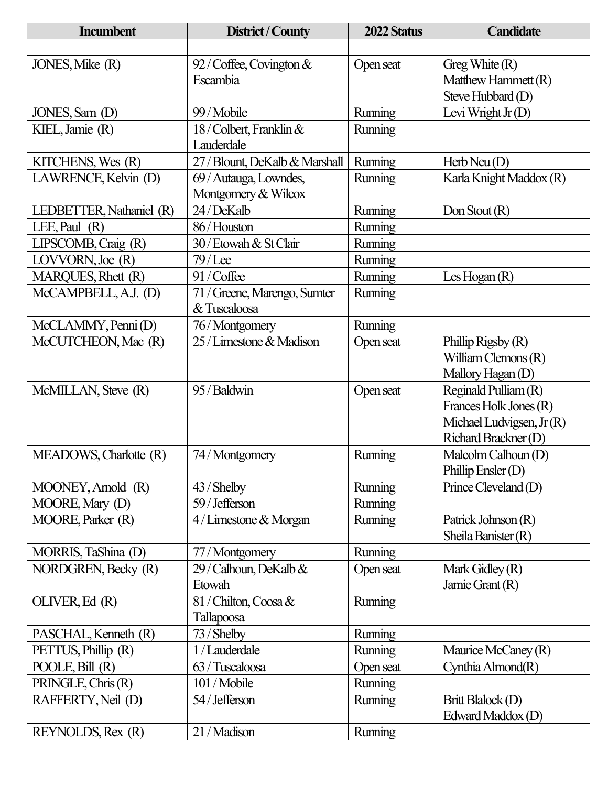| <b>Incumbent</b>         | District / County              | 2022 Status    | <b>Candidate</b>          |
|--------------------------|--------------------------------|----------------|---------------------------|
|                          |                                |                |                           |
| JONES, Mike (R)          | $92$ / Coffee, Covington &     | Open seat      | Greg White $(R)$          |
|                          | Escambia                       |                | Matthew Hammett (R)       |
|                          |                                |                | Steve Hubbard (D)         |
| JONES, Sam (D)           | 99 / Mobile                    | <b>Running</b> | Levi Wright $Jr(D)$       |
| KIEL, Jamie (R)          | 18/Colbert, Franklin &         | Running        |                           |
|                          | Lauderdale                     |                |                           |
| KITCHENS, Wes (R)        | 27 / Blount, DeKalb & Marshall | Running        | Herb Neu $(D)$            |
| LAWRENCE, Kelvin (D)     | 69 / Autauga, Lowndes,         | Running        | Karla Knight Maddox (R)   |
|                          | Montgomery & Wilcox            |                |                           |
| LEDBETTER, Nathaniel (R) | 24/DeKalb                      | Running        | Don Stout $(R)$           |
| LEE, Paul $(R)$          | 86/Houston                     | Running        |                           |
| LIPSCOMB, Craig (R)      | 30 / Etowah & St Clair         | Running        |                           |
| LOVVORN, Joe (R)         | $79$ /Lee                      | Running        |                           |
| MARQUES, Rhett (R)       | 91/Coffee                      | Running        | Les Hogan $(R)$           |
| McCAMPBELL, A.J. (D)     | 71 / Greene, Marengo, Sumter   | Running        |                           |
|                          | & Tuscaloosa                   |                |                           |
| McCLAMMY, Penni (D)      | 76/Montgomery                  | Running        |                           |
| McCUTCHEON, Mac (R)      | 25 / Limestone & Madison       | Open seat      | Phillip Rigsby $(R)$      |
|                          |                                |                | William Clemons $(R)$     |
|                          |                                |                | Mallory Hagan (D)         |
| McMILLAN, Steve (R)      | 95 / Baldwin                   | Open seat      | Reginald Pulliam (R)      |
|                          |                                |                | Frances Holk Jones (R)    |
|                          |                                |                | Michael Ludvigsen, Jr (R) |
|                          |                                |                | Richard Brackner (D)      |
| MEADOWS, Charlotte (R)   | 74/Montgomery                  | Running        | Malcolm Calhoun (D)       |
|                          |                                |                | Phillip Ensler $(D)$      |
| MOONEY, Arnold (R)       | 43 / Shelby                    | Running        | Prince Cleveland (D)      |
| MOORE, Mary (D)          | 59 / Jefferson                 | Running        |                           |
| MOORE, Parker (R)        | 4 / Limestone & Morgan         | Running        | Patrick Johnson (R)       |
|                          |                                |                | Sheila Banister $(R)$     |
| MORRIS, TaShina (D)      | 77/Montgomery                  | <b>Running</b> |                           |
| NORDGREN, Becky (R)      | 29 / Calhoun, DeKalb &         | Open seat      | Mark Gidley (R)           |
|                          | Etowah                         |                | Jamie Grant (R)           |
| OLIVER, Ed (R)           | 81 / Chilton, Coosa &          | Running        |                           |
|                          | Tallapoosa                     |                |                           |
| PASCHAL, Kenneth (R)     | 73 / Shelby                    | Running        |                           |
| PETTUS, Phillip (R)      | 1 / Lauderdale                 | Running        | Maurice McCaney (R)       |
| POOLE, Bill (R)          | 63 / Tuscaloosa                | Open seat      | Cynthia Almond(R)         |
| PRINGLE, Chris (R)       | 101 / Mobile                   | <b>Running</b> |                           |
| RAFFERTY, Neil (D)       | 54 / Jefferson                 | Running        | Britt Blalock (D)         |
|                          |                                |                | Edward Maddox (D)         |
| REYNOLDS, Rex (R)        | 21 / Madison                   | Running        |                           |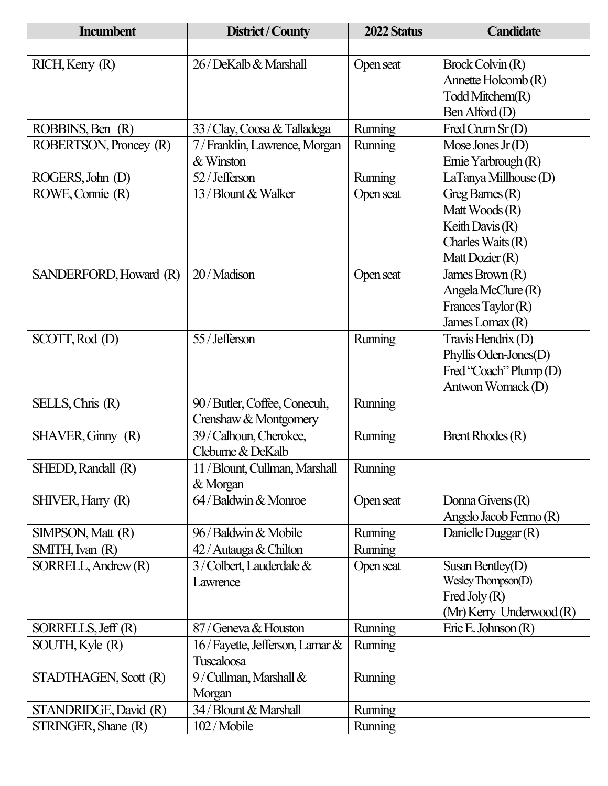| <b>Incumbent</b>       | District / County              | 2022 Status | <b>Candidate</b>                                  |
|------------------------|--------------------------------|-------------|---------------------------------------------------|
|                        |                                |             |                                                   |
| $RICH,$ Kerry $(R)$    | 26 / DeKalb & Marshall         | Open seat   | Brock Colvin (R)                                  |
|                        |                                |             | Annette Holcomb (R)                               |
|                        |                                |             | Todd Mitchem(R)                                   |
|                        |                                |             | Ben Alford(D)                                     |
| ROBBINS, Ben (R)       | 33 / Clay, Coosa & Talladega   | Running     | Fred Crum $Sr(D)$                                 |
| ROBERTSON, Proncey (R) | 7/Franklin, Lawrence, Morgan   | Running     | Mose Jones Jr $(D)$                               |
|                        | & Winston                      |             | Ernie Yarbrough (R)                               |
| ROGERS, John (D)       | 52 / Jefferson                 | Running     | LaTanya Millhouse(D)                              |
| ROWE, Connie (R)       | 13 / Blount & Walker           | Open seat   | Greg Barnes $(R)$                                 |
|                        |                                |             | Matt Woods $(R)$                                  |
|                        |                                |             | Keith Davis $(R)$                                 |
|                        |                                |             | Charles Waits $(R)$                               |
|                        |                                |             | Matt Dozier (R)                                   |
| SANDERFORD, Howard (R) | 20/Madison                     | Open seat   | James Brown $(R)$                                 |
|                        |                                |             | Angela McClure $(R)$                              |
|                        |                                |             | Frances Taylor $(R)$                              |
|                        |                                |             | James Lomax $(R)$                                 |
| SCOTT, Rod (D)         | 55 / Jefferson                 | Running     | Travis Hendrix (D)                                |
|                        |                                |             | Phyllis Oden-Jones(D)                             |
|                        |                                |             | Fred "Coach" Plump (D)                            |
|                        |                                |             | Antwon Womack (D)                                 |
| SELLS, Chris (R)       | 90 / Butler, Coffee, Conecuh,  | Running     |                                                   |
|                        | Crenshaw & Montgomery          |             |                                                   |
| SHAVER, Ginny (R)      | 39 / Calhoun, Cherokee,        | Running     | Brent Rhodes $(R)$                                |
|                        | Cleburne & DeKalb              |             |                                                   |
| SHEDD, Randall (R)     | 11 / Blount, Cullman, Marshall | Running     |                                                   |
|                        | & Morgan                       |             |                                                   |
| SHIVER, Harry (R)      | 64 / Baldwin & Monroe          | Open seat   | Donna Givens $(R)$                                |
|                        |                                |             | Angelo Jacob Fermo (R)                            |
| SIMPSON, Matt (R)      | 96 / Baldwin & Mobile          | Running     | Danielle Duggar (R)                               |
| SMITH, Ivan (R)        | 42 / Autauga & Chilton         | Running     |                                                   |
| SORRELL, Andrew (R)    | $3$ / Colbert, Lauderdale $&$  | Open seat   | Susan Bentley(D)                                  |
|                        | Lawrence                       |             | Wesley Thompson(D)                                |
|                        |                                |             | Fred Joly $(R)$                                   |
| SORRELLS, Jeff (R)     | 87 / Geneva & Houston          | Running     | (Mr) Kerry Underwood (R)<br>Eric E. Johnson $(R)$ |
| SOUTH, Kyle (R)        | 16/Fayette, Jefferson, Lamar & | Running     |                                                   |
|                        | Tuscaloosa                     |             |                                                   |
| STADTHAGEN, Scott (R)  | 9/Cullman, Marshall &          | Running     |                                                   |
|                        | Morgan                         |             |                                                   |
| STANDRIDGE, David (R)  | 34 / Blount & Marshall         | Running     |                                                   |
| STRINGER, Shane (R)    | 102/Mobile                     | Running     |                                                   |
|                        |                                |             |                                                   |